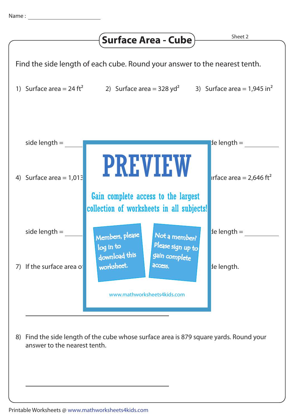